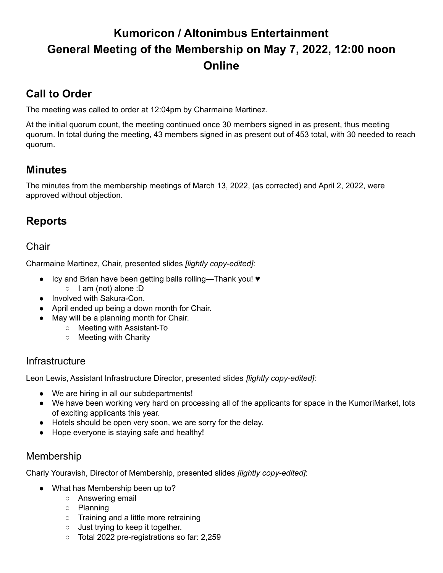# **Kumoricon / Altonimbus Entertainment General Meeting of the Membership on May 7, 2022, 12:00 noon Online**

## **Call to Order**

The meeting was called to order at 12:04pm by Charmaine Martinez.

At the initial quorum count, the meeting continued once 30 members signed in as present, thus meeting quorum. In total during the meeting, 43 members signed in as present out of 453 total, with 30 needed to reach quorum.

## **Minutes**

The minutes from the membership meetings of March 13, 2022, (as corrected) and April 2, 2022, were approved without objection.

## **Reports**

### Chair

Charmaine Martinez, Chair, presented slides *[lightly copy-edited]*:

- Icy and Brian have been getting balls rolling—Thank you! ♥
	- I am (not) alone :D
- Involved with Sakura-Con.
- April ended up being a down month for Chair.
- May will be a planning month for Chair.
	- Meeting with Assistant-To
	- Meeting with Charity

### **Infrastructure**

Leon Lewis, Assistant Infrastructure Director, presented slides *[lightly copy-edited]*:

- We are hiring in all our subdepartments!
- We have been working very hard on processing all of the applicants for space in the KumoriMarket, lots of exciting applicants this year.
- Hotels should be open very soon, we are sorry for the delay.
- Hope everyone is staying safe and healthy!

### Membership

Charly Youravish, Director of Membership, presented slides *[lightly copy-edited]*:

- What has Membership been up to?
	- Answering email
	- Planning
	- Training and a little more retraining
	- Just trying to keep it together.
	- Total 2022 pre-registrations so far: 2,259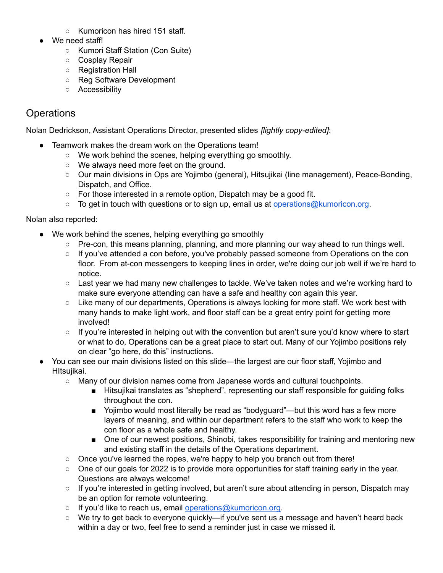- Kumoricon has hired 151 staff.
- We need staff!
	- Kumori Staff Station (Con Suite)
	- Cosplay Repair
	- Registration Hall
	- Reg Software Development
	- Accessibility

### **Operations**

Nolan Dedrickson, Assistant Operations Director, presented slides *[lightly copy-edited]*:

- Teamwork makes the dream work on the Operations team!
	- We work behind the scenes, helping everything go smoothly.
	- We always need more feet on the ground.
	- Our main divisions in Ops are Yojimbo (general), Hitsujikai (line management), Peace-Bonding, Dispatch, and Office.
	- For those interested in a remote option, Dispatch may be a good fit.
	- $\circ$  To get in touch with questions or to sign up, email us at [operations@kumoricon.org](mailto:operations@kumoricon.org).

Nolan also reported:

- We work behind the scenes, helping everything go smoothly
	- Pre-con, this means planning, planning, and more planning our way ahead to run things well.
	- If you've attended a con before, you've probably passed someone from Operations on the con floor. From at-con messengers to keeping lines in order, we're doing our job well if we're hard to notice.
	- $\circ$  Last year we had many new challenges to tackle. We've taken notes and we're working hard to make sure everyone attending can have a safe and healthy con again this year.
	- Like many of our departments, Operations is always looking for more staff. We work best with many hands to make light work, and floor staff can be a great entry point for getting more involved!
	- If you're interested in helping out with the convention but aren't sure you'd know where to start or what to do, Operations can be a great place to start out. Many of our Yojimbo positions rely on clear "go here, do this" instructions.
- You can see our main divisions listed on this slide—the largest are our floor staff, Yojimbo and HItsujikai.
	- Many of our division names come from Japanese words and cultural touchpoints.
		- Hitsujikai translates as "shepherd", representing our staff responsible for guiding folks throughout the con.
		- Yojimbo would most literally be read as "bodyguard"—but this word has a few more layers of meaning, and within our department refers to the staff who work to keep the con floor as a whole safe and healthy.
		- One of our newest positions, Shinobi, takes responsibility for training and mentoring new and existing staff in the details of the Operations department.
	- $\circ$  Once you've learned the ropes, we're happy to help you branch out from there!
	- One of our goals for 2022 is to provide more opportunities for staff training early in the year. Questions are always welcome!
	- If you're interested in getting involved, but aren't sure about attending in person, Dispatch may be an option for remote volunteering.
	- If you'd like to reach us, email [operations@kumoricon.org.](mailto:operations@kumoricon.org)
	- We try to get back to everyone quickly—if you've sent us a message and haven't heard back within a day or two, feel free to send a reminder just in case we missed it.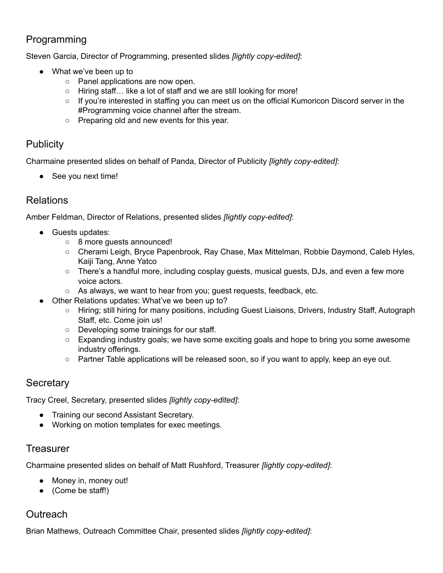### Programming

Steven Garcia, Director of Programming, presented slides *[lightly copy-edited]*:

- What we've been up to
	- Panel applications are now open.
	- Hiring staff… like a lot of staff and we are still looking for more!
	- If you're interested in staffing you can meet us on the official Kumoricon Discord server in the #Programming voice channel after the stream.
	- Preparing old and new events for this year.

### **Publicity**

Charmaine presented slides on behalf of Panda, Director of Publicity *[lightly copy-edited]*:

• See you next time!

### Relations

Amber Feldman, Director of Relations, presented slides *[lightly copy-edited]*:

- Guests updates:
	- 8 more guests announced!
	- Cherami Leigh, Bryce Papenbrook, Ray Chase, Max Mittelman, Robbie Daymond, Caleb Hyles, Kaiji Tang, Anne Yatco
	- $\circ$  There's a handful more, including cosplay guests, musical guests, DJs, and even a few more voice actors.
	- As always, we want to hear from you; guest requests, feedback, etc.
- Other Relations updates: What've we been up to?
	- Hiring; still hiring for many positions, including Guest Liaisons, Drivers, Industry Staff, Autograph Staff, etc. Come join us!
	- Developing some trainings for our staff.
	- Expanding industry goals; we have some exciting goals and hope to bring you some awesome industry offerings.
	- $\circ$  Partner Table applications will be released soon, so if you want to apply, keep an eye out.

### **Secretary**

Tracy Creel, Secretary, presented slides *[lightly copy-edited]*:

- Training our second Assistant Secretary.
- Working on motion templates for exec meetings.

#### **Treasurer**

Charmaine presented slides on behalf of Matt Rushford, Treasurer *[lightly copy-edited]*:

- Money in, money out!
- (Come be staff!)

### **Outreach**

Brian Mathews, Outreach Committee Chair, presented slides *[lightly copy-edited]*: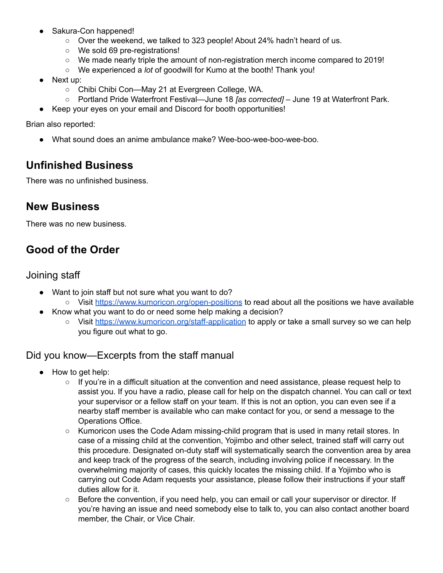- Sakura-Con happened!
	- Over the weekend, we talked to 323 people! About 24% hadn't heard of us.
	- We sold 69 pre-registrations!
	- We made nearly triple the amount of non-registration merch income compared to 2019!
	- We experienced a *lot* of goodwill for Kumo at the booth! Thank you!
- Next up:
	- Chibi Chibi Con—May 21 at Evergreen College, WA.
	- Portland Pride Waterfront Festival—June 18 *[as corrected]* June 19 at Waterfront Park.
- Keep your eyes on your email and Discord for booth opportunities!

Brian also reported:

● What sound does an anime ambulance make? Wee-boo-wee-boo-wee-boo.

### **Unfinished Business**

There was no unfinished business.

### **New Business**

There was no new business.

## **Good of the Order**

#### Joining staff

- Want to join staff but not sure what you want to do?
	- Visit <https://www.kumoricon.org/open-positions> to read about all the positions we have available
- Know what you want to do or need some help making a decision?
	- Visit <https://www.kumoricon.org/staff-application> to apply or take a small survey so we can help you figure out what to go.

### Did you know—Excerpts from the staff manual

- How to get help:
	- If you're in a difficult situation at the convention and need assistance, please request help to assist you. If you have a radio, please call for help on the dispatch channel. You can call or text your supervisor or a fellow staff on your team. If this is not an option, you can even see if a nearby staff member is available who can make contact for you, or send a message to the Operations Office.
	- Kumoricon uses the Code Adam missing-child program that is used in many retail stores. In case of a missing child at the convention, Yojimbo and other select, trained staff will carry out this procedure. Designated on-duty staff will systematically search the convention area by area and keep track of the progress of the search, including involving police if necessary. In the overwhelming majority of cases, this quickly locates the missing child. If a Yojimbo who is carrying out Code Adam requests your assistance, please follow their instructions if your staff duties allow for it.
	- Before the convention, if you need help, you can email or call your supervisor or director. If you're having an issue and need somebody else to talk to, you can also contact another board member, the Chair, or Vice Chair.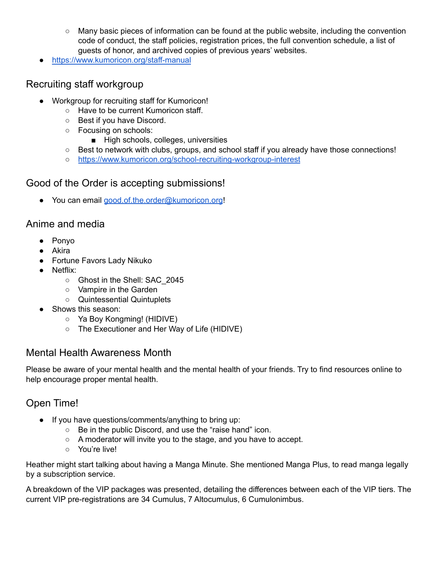- Many basic pieces of information can be found at the public website, including the convention code of conduct, the staff policies, registration prices, the full convention schedule, a list of guests of honor, and archived copies of previous years' websites.
- <https://www.kumoricon.org/staff-manual>

#### Recruiting staff workgroup

- Workgroup for recruiting staff for Kumoricon!
	- Have to be current Kumoricon staff.
	- Best if you have Discord.
	- Focusing on schools:
		- High schools, colleges, universities
	- Best to network with clubs, groups, and school staff if you already have those connections!
	- <https://www.kumoricon.org/school-recruiting-workgroup-interest>

#### Good of the Order is accepting submissions!

● You can email [good.of.the.order@kumoricon.org](mailto:good.of.the.order@kumoricon.org)!

#### Anime and media

- Ponyo
- Akira
- Fortune Favors Lady Nikuko
- Netflix:
	- Ghost in the Shell: SAC\_2045
	- Vampire in the Garden
	- Quintessential Quintuplets
- Shows this season:
	- Ya Boy Kongming! (HIDIVE)
	- The Executioner and Her Way of Life (HIDIVE)

#### Mental Health Awareness Month

Please be aware of your mental health and the mental health of your friends. Try to find resources online to help encourage proper mental health.

### Open Time!

- If you have questions/comments/anything to bring up:
	- Be in the public Discord, and use the "raise hand" icon.
	- A moderator will invite you to the stage, and you have to accept.
	- You're live!

Heather might start talking about having a Manga Minute. She mentioned Manga Plus, to read manga legally by a subscription service.

A breakdown of the VIP packages was presented, detailing the differences between each of the VIP tiers. The current VIP pre-registrations are 34 Cumulus, 7 Altocumulus, 6 Cumulonimbus.